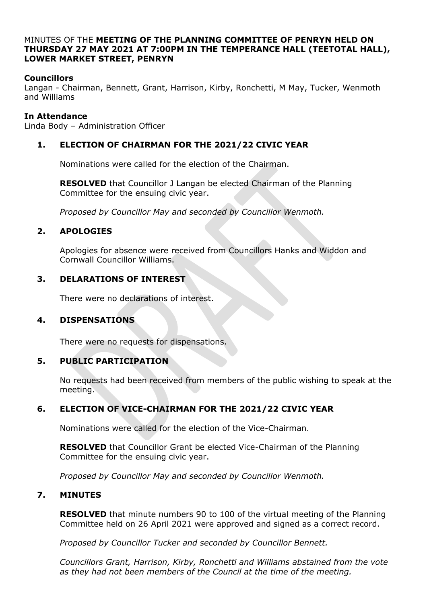#### MINUTES OF THE **MEETING OF THE PLANNING COMMITTEE OF PENRYN HELD ON THURSDAY 27 MAY 2021 AT 7:00PM IN THE TEMPERANCE HALL (TEETOTAL HALL), LOWER MARKET STREET, PENRYN**

# **Councillors**

Langan - Chairman, Bennett, Grant, Harrison, Kirby, Ronchetti, M May, Tucker, Wenmoth and Williams

#### **In Attendance**

Linda Body – Administration Officer

### **1. ELECTION OF CHAIRMAN FOR THE 2021/22 CIVIC YEAR**

Nominations were called for the election of the Chairman.

**RESOLVED** that Councillor J Langan be elected Chairman of the Planning Committee for the ensuing civic year.

*Proposed by Councillor May and seconded by Councillor Wenmoth.*

#### **2. APOLOGIES**

Apologies for absence were received from Councillors Hanks and Widdon and Cornwall Councillor Williams.

#### **3. DELARATIONS OF INTEREST**

There were no declarations of interest.

# **4. DISPENSATIONS**

There were no requests for dispensations.

# **5. PUBLIC PARTICIPATION**

No requests had been received from members of the public wishing to speak at the meeting.

# **6. ELECTION OF VICE-CHAIRMAN FOR THE 2021/22 CIVIC YEAR**

Nominations were called for the election of the Vice-Chairman.

**RESOLVED** that Councillor Grant be elected Vice-Chairman of the Planning Committee for the ensuing civic year.

*Proposed by Councillor May and seconded by Councillor Wenmoth.*

#### **7. MINUTES**

**RESOLVED** that minute numbers 90 to 100 of the virtual meeting of the Planning Committee held on 26 April 2021 were approved and signed as a correct record.

*Proposed by Councillor Tucker and seconded by Councillor Bennett.*

*Councillors Grant, Harrison, Kirby, Ronchetti and Williams abstained from the vote as they had not been members of the Council at the time of the meeting.*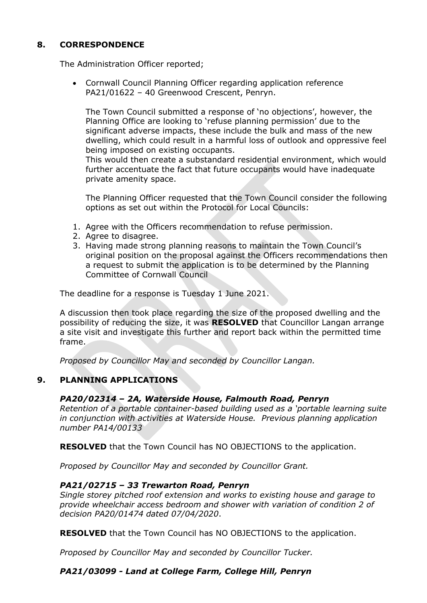# **8. CORRESPONDENCE**

The Administration Officer reported;

• Cornwall Council Planning Officer regarding application reference PA21/01622 – 40 Greenwood Crescent, Penryn.

The Town Council submitted a response of 'no objections', however, the Planning Office are looking to 'refuse planning permission' due to the significant adverse impacts, these include the bulk and mass of the new dwelling, which could result in a harmful loss of outlook and oppressive feel being imposed on existing occupants.

This would then create a substandard residential environment, which would further accentuate the fact that future occupants would have inadequate private amenity space.

The Planning Officer requested that the Town Council consider the following options as set out within the Protocol for Local Councils:

- 1. Agree with the Officers recommendation to refuse permission.
- 2. Agree to disagree.
- 3. Having made strong planning reasons to maintain the Town Council's original position on the proposal against the Officers recommendations then a request to submit the application is to be determined by the Planning Committee of Cornwall Council

The deadline for a response is Tuesday 1 June 2021.

A discussion then took place regarding the size of the proposed dwelling and the possibility of reducing the size, it was **RESOLVED** that Councillor Langan arrange a site visit and investigate this further and report back within the permitted time frame.

*Proposed by Councillor May and seconded by Councillor Langan.* 

# **9. PLANNING APPLICATIONS**

#### *PA20/02314 – 2A, Waterside House, Falmouth Road, Penryn*

*Retention of a portable container-based building used as a 'portable learning suite in conjunction with activities at Waterside House. Previous planning application number PA14/00133*

**RESOLVED** that the Town Council has NO OBJECTIONS to the application.

*Proposed by Councillor May and seconded by Councillor Grant.*

#### *PA21/02715 – 33 Trewarton Road, Penryn*

*Single storey pitched roof extension and works to existing house and garage to provide wheelchair access bedroom and shower with variation of condition 2 of decision PA20/01474 dated 07/04/2020*.

**RESOLVED** that the Town Council has NO OBJECTIONS to the application.

*Proposed by Councillor May and seconded by Councillor Tucker.*

# *PA21/03099 - Land at College Farm, College Hill, Penryn*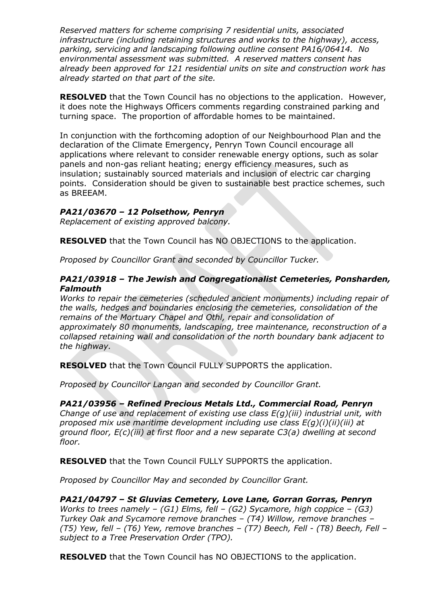*Reserved matters for scheme comprising 7 residential units, associated infrastructure (including retaining structures and works to the highway), access, parking, servicing and landscaping following outline consent PA16/06414. No environmental assessment was submitted. A reserved matters consent has already been approved for 121 residential units on site and construction work has already started on that part of the site.*

**RESOLVED** that the Town Council has no objections to the application. However, it does note the Highways Officers comments regarding constrained parking and turning space. The proportion of affordable homes to be maintained.

In conjunction with the forthcoming adoption of our Neighbourhood Plan and the declaration of the Climate Emergency, Penryn Town Council encourage all applications where relevant to consider renewable energy options, such as solar panels and non-gas reliant heating; energy efficiency measures, such as insulation; sustainably sourced materials and inclusion of electric car charging points. Consideration should be given to sustainable best practice schemes, such as BREEAM.

# *PA21/03670 – 12 Polsethow, Penryn*

*Replacement of existing approved balcony.*

**RESOLVED** that the Town Council has NO OBJECTIONS to the application.

*Proposed by Councillor Grant and seconded by Councillor Tucker.*

### *PA21/03918 – The Jewish and Congregationalist Cemeteries, Ponsharden, Falmouth*

*Works to repair the cemeteries (scheduled ancient monuments) including repair of the walls, hedges and boundaries enclosing the cemeteries, consolidation of the remains of the Mortuary Chapel and Othl, repair and consolidation of approximately 80 monuments, landscaping, tree maintenance, reconstruction of a collapsed retaining wall and consolidation of the north boundary bank adjacent to the highway.*

**RESOLVED** that the Town Council FULLY SUPPORTS the application.

*Proposed by Councillor Langan and seconded by Councillor Grant.*

# *PA21/03956 – Refined Precious Metals Ltd., Commercial Road, Penryn*

*Change of use and replacement of existing use class E(g)(iii) industrial unit, with proposed mix use maritime development including use class E(g)(i)(ii)(iii) at ground floor, E(c)(iii) at first floor and a new separate C3(a) dwelling at second floor.*

**RESOLVED** that the Town Council FULLY SUPPORTS the application.

*Proposed by Councillor May and seconded by Councillor Grant.*

# *PA21/04797 – St Gluvias Cemetery, Love Lane, Gorran Gorras, Penryn*

*Works to trees namely – (G1) Elms, fell – (G2) Sycamore, high coppice – (G3) Turkey Oak and Sycamore remove branches – (T4) Willow, remove branches – (T5) Yew, fell – (T6) Yew, remove branches – (T7) Beech, Fell - (T8) Beech, Fell – subject to a Tree Preservation Order (TPO).*

**RESOLVED** that the Town Council has NO OBJECTIONS to the application.